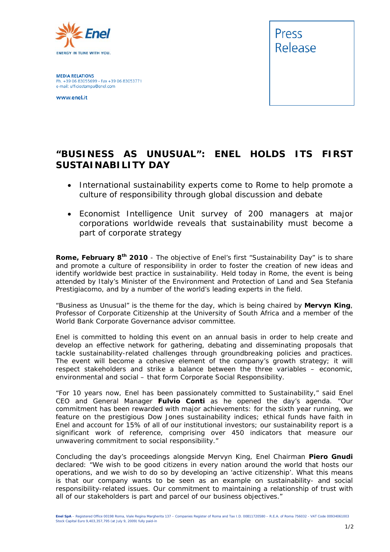

**MEDIA RELATIONS** Ph. +39 06 83055699 - Fax +39 06 83053771 e-mail: ufficiostampa@enel.com

www.enel.it



## **"BUSINESS AS UNUSUAL": ENEL HOLDS ITS FIRST SUSTAINABILITY DAY**

- *International sustainability experts come to Rome to help promote a culture of responsibility through global discussion and debate*
- *Economist Intelligence Unit survey of 200 managers at major corporations worldwide reveals that sustainability must become a part of corporate strategy*

**Rome, February 8th 2010** - The objective of Enel's first "Sustainability Day" is to share and promote a culture of responsibility in order to foster the creation of new ideas and identify worldwide best practice in sustainability. Held today in Rome, the event is being attended by Italy's Minister of the Environment and Protection of Land and Sea Stefania Prestigiacomo, and by a number of the world's leading experts in the field.

"Business as Unusual" is the theme for the day, which is being chaired by **Mervyn King**, Professor of Corporate Citizenship at the University of South Africa and a member of the World Bank Corporate Governance advisor committee.

Enel is committed to holding this event on an annual basis in order to help create and develop an effective network for gathering, debating and disseminating proposals that tackle sustainability-related challenges through groundbreaking policies and practices. The event will become a cohesive element of the company's growth strategy; it will respect stakeholders and strike a balance between the three variables – economic, environmental and social – that form Corporate Social Responsibility.

"For 10 years now, Enel has been passionately committed to Sustainability," said Enel CEO and General Manager **Fulvio Conti** as he opened the day's agenda. "Our commitment has been rewarded with major achievements: for the sixth year running, we feature on the prestigious Dow Jones sustainability indices; ethical funds have faith in Enel and account for 15% of all of our institutional investors; our sustainability report is a significant work of reference, comprising over 450 indicators that measure our unwavering commitment to social responsibility."

Concluding the day's proceedings alongside Mervyn King, Enel Chairman **Piero Gnudi** declared: "We wish to be good citizens in every nation around the world that hosts our operations, and we wish to do so by developing an 'active citizenship'. What this means is that our company wants to be seen as an example on sustainability- and social responsibility-related issues. Our commitment to maintaining a relationship of trust with all of our stakeholders is part and parcel of our business objectives."